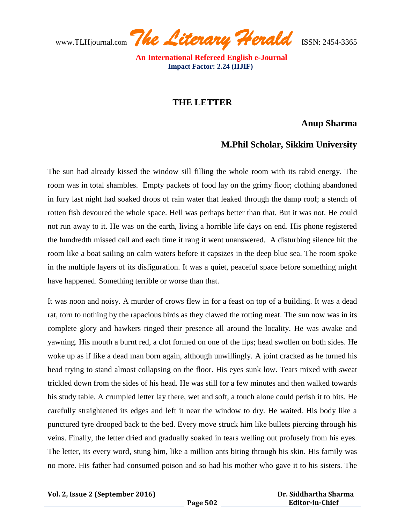www.TLHjournal.com *The Literary Herald*ISSN: 2454-3365

 **An International Refereed English e-Journal Impact Factor: 2.24 (IIJIF)**

## **THE LETTER**

## **Anup Sharma**

## **M.Phil Scholar, Sikkim University**

The sun had already kissed the window sill filling the whole room with its rabid energy. The room was in total shambles. Empty packets of food lay on the grimy floor; clothing abandoned in fury last night had soaked drops of rain water that leaked through the damp roof; a stench of rotten fish devoured the whole space. Hell was perhaps better than that. But it was not. He could not run away to it. He was on the earth, living a horrible life days on end. His phone registered the hundredth missed call and each time it rang it went unanswered. A disturbing silence hit the room like a boat sailing on calm waters before it capsizes in the deep blue sea. The room spoke in the multiple layers of its disfiguration. It was a quiet, peaceful space before something might have happened. Something terrible or worse than that.

It was noon and noisy. A murder of crows flew in for a feast on top of a building. It was a dead rat, torn to nothing by the rapacious birds as they clawed the rotting meat. The sun now was in its complete glory and hawkers ringed their presence all around the locality. He was awake and yawning. His mouth a burnt red, a clot formed on one of the lips; head swollen on both sides. He woke up as if like a dead man born again, although unwillingly. A joint cracked as he turned his head trying to stand almost collapsing on the floor. His eyes sunk low. Tears mixed with sweat trickled down from the sides of his head. He was still for a few minutes and then walked towards his study table. A crumpled letter lay there, wet and soft, a touch alone could perish it to bits. He carefully straightened its edges and left it near the window to dry. He waited. His body like a punctured tyre drooped back to the bed. Every move struck him like bullets piercing through his veins. Finally, the letter dried and gradually soaked in tears welling out profusely from his eyes. The letter, its every word, stung him, like a million ants biting through his skin. His family was no more. His father had consumed poison and so had his mother who gave it to his sisters. The